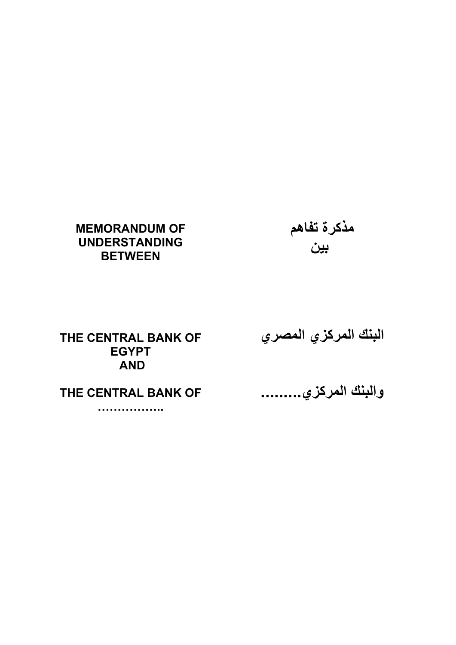# **MEMORANDUM OF UNDERSTANDING BETWEEN**

م**ذكرة تفاهم بين**

**THE CENTRAL BANK OF EGYPT AND** 

**THE CENTRAL BANK OF** 

**……………..** 

**البنك المرآزي المصري**

**والبنك المرآزي .........**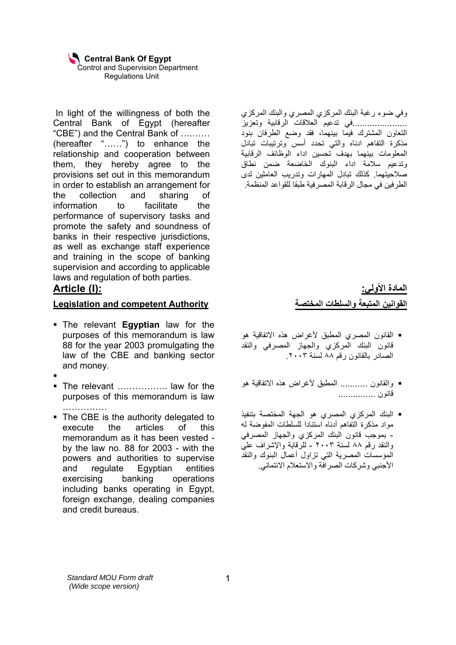In light of the willingness of both the Central Bank of Egypt (hereafter "CBE") and the Central Bank of ….…… (hereafter "……") to enhance the relationship and cooperation between them, they hereby agree to the provisions set out in this memorandum in order to establish an arrangement for the collection and sharing of information to facilitate the performance of supervisory tasks and promote the safety and soundness of banks in their respective jurisdictions, as well as exchange staff experience and training in the scope of banking supervision and according to applicable laws and regulation of both parties.

# **Article (I):**

### **Legislation and competent Authority**

- **The relevant Egyptian law for the** purposes of this memorandum is law 88 for the year 2003 promulgating the law of the CBE and banking sector and money.
- ٠
- The relevant ……………… law for the purposes of this memorandum is law ……………
- The CBE is the authority delegated to execute the articles of this memorandum as it has been vested by the law no. 88 for 2003 - with the powers and authorities to supervise and regulate Egyptian entities exercising banking operations including banks operating in Egypt, foreign exchange, dealing companies and credit bureaus.

وفي ضوء رغبة البنك المركزي المصري والبنك المركزي ......................في تدعيم العلاقات الرقابية وتعزيز التعاون المشترك فيما بينهما، فقد وضع الطرفان بنود مذكرة التفاهم ادناه والتي تحدد أسس وترتيبات تبادل المعلومات بينهما بهدف تحسين اداء الوظائف الرقابية وتدعيم سلامة اداء البنوك الخاضعة ضمن نطاق صلاحيتهما. آذلك تبادل المهارات وتدريب العاملين لدى الطرفين في مجال الرقابة المصرفية طبقا للقواعد المنظمة.

> **المادة الأولي: القوانين المتبعة والسلطات المختصة**

- القانون المصري المطبق لأغراض هذه الاتفاقية هو قانون البنك المركزي والجهاز المصرفي والنقد الصادر بالقانون رقم ٨٨ لسنة .٢٠٠٣
- والقانون ........... المطبق لأغراض هذه الاتفاقية هو قانون ...............
- البنك المرآزي المصري هو الجهة المختصة بتنفيذ مواد مذكر ة التفاهم أدناه استنادا للسلطات المفوضية له - بموجب قانون البنك المرآزي والجهاز المصرفي والنقد رقم ٨٨ لسنة ٢٠٠٣ - للرقابة والإشراف علي المؤسسات المصرية التي تزاول أعمال البنوك والنقد الأجنبي وشركات الصر افّة والاستعلام الائتماني.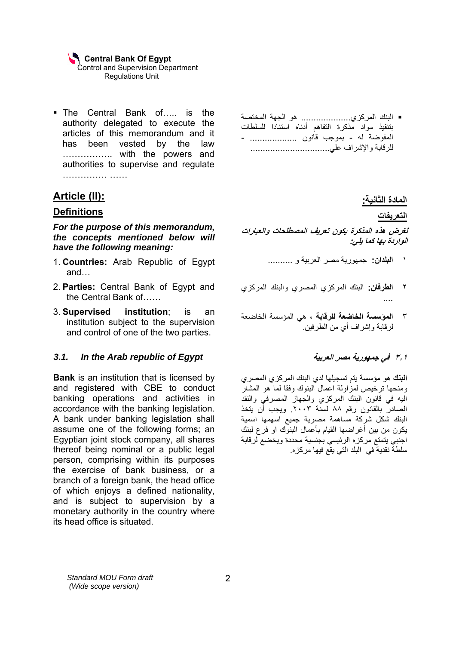The Central Bank of….. is the authority delegated to execute the articles of this memorandum and it has been vested by the law …………….. with the powers and authorities to supervise and regulate …………… ……

# **Article (II):**

### **Definitions**

*For the purpose of this memorandum, the concepts mentioned below will have the following meaning:* 

- 1. **Countries:** Arab Republic of Egypt and…
- 2. **Parties:** Central Bank of Egypt and the Central Bank of……
- 3. **Supervised institution**; is an institution subject to the supervision and control of one of the two parties.

### *3.1. In the Arab republic of Egypt*

**Bank** is an institution that is licensed by and registered with CBE to conduct banking operations and activities in accordance with the banking legislation. A bank under banking legislation shall assume one of the following forms; an Egyptian joint stock company, all shares thereof being nominal or a public legal person, comprising within its purposes the exercise of bank business, or a branch of a foreign bank, the head office of which enjoys a defined nationality, and is subject to supervision by a monetary authority in the country where its head office is situated.

■ البنك المركزي................... هو الجهة المختصة بتنفيذ مواد مذكرة التفاهم أدناه استنادا للسلطات المفوضة له - بموجب قانون ................... - للرقابة والإشراف علي................................

 **المادة الثانية:**

**التعريفات** 

### **لغرض هذه المذآرة يكون تعريف المصطلحات والعبارات الواردة بها آما يلي:**

- ١ **البلدان:** جمهورية مصر العربية و ..........
- ٢ **الطرفان:** البنك المرآزي المصري والبنك المرآزي ....
- ٣ **المؤسسة الخاضعة للرقابة ،** هي المؤسسة الخاضعة لرقابة وإشراف أي من الطرفين.

### **٣٫١ في جمهورية مصر العربية**

**البنك** هو مؤسسة يتم تسجيلها لدي البنك المرآزي المصري ومنحها ترخيص لمزاولة اعمال البنوك وفقا لما هو المشار اليه في قانون البنك المركزي والجهاز المصرفي والنقد الصادر بالقانون رقم ٨٨ لسنة .٢٠٠٣ ويجب أن يتخذ البنك شكل شركة مساهمة مصرية جميع اسهمها اسمية يكون من بين أغراضها القيام بأعمال البنوك او فرع لبنك اجنبي يتمتع مركزه الرئيسي بجنسية محددة ويخضع لرقابة سلطة نقدية في البلد التي يقع فيها مرآزه.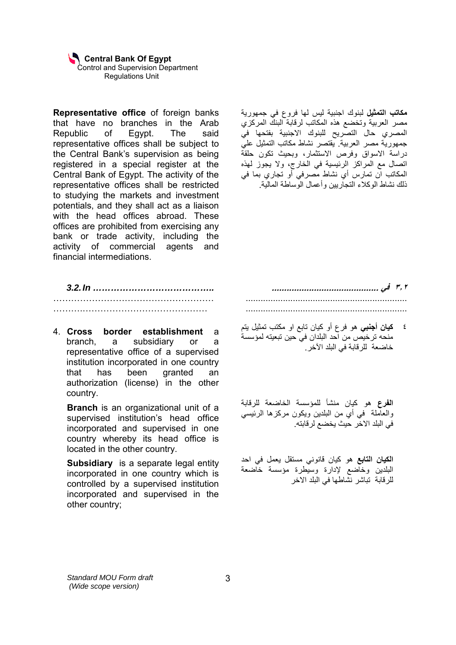**Representative office** of foreign banks that have no branches in the Arab Republic of Egypt. The said representative offices shall be subject to the Central Bank's supervision as being registered in a special register at the Central Bank of Egypt. The activity of the representative offices shall be restricted to studying the markets and investment potentials, and they shall act as a liaison with the head offices abroad. These offices are prohibited from exercising any bank or trade activity, including the activity of commercial agents and financial intermediations.

*3.2. In …………………………………..*  ……………………………………………… ……….……………………………………

4. **Cross border establishment** a branch, a subsidiary or a representative office of a supervised institution incorporated in one country that has been granted an authorization (license) in the other country.

**Branch** is an organizational unit of a supervised institution's head office incorporated and supervised in one country whereby its head office is located in the other country.

**Subsidiary** is a separate legal entity incorporated in one country which is controlled by a supervised institution incorporated and supervised in the other country;

**مكاتب التمثيل** لبنوك اجنبية ليس لها فروع في جمهورية مصر العربية وتخضع هذه المكاتب لرقابة البنك المرآزي المصري حال التصريح للبنوك الاجنبية بفتحها في جمهورية مصر العربية. يقتصر نشاط مكاتب التمثيل علي دراسة الاسواق وفرص الاستثمار، وبحيث تكون حلقة اتصال مع المراكز الرئيسية في الخارج، ولا يجوز لهذه المكاتب ان تمارس أي نشاط مصرفي أو تجاري بما في ذلك نشاط الوآلاء التجاريين وأعمال الوساطة المالية.

**٣٫٢ في ...........................................**  ................................................................. .................................................................

٤ **آيان أجنبي** هو فرع أو آيان تابع او مكتب تمثيل يتم منحه ترخيص من احد البلدان في حين تبعيته لمؤسسة خاضعة للرقابة في البلد الآخر.

**الفرع** هو آيان منشأ للمؤسسة الخاضعة للرقابة والعاملة في أي من البلدين ويكون مركزها الرئيسي في البلد الاخر حيث يخضع لرقابته.

**الكيان التابع** هو آيان قانوني مستقل يعمل في احد البلدين وخاضع لإدارة وسيطرة مؤسسة خاضعة للرقابة تباشر نشاطها في البلد الاخر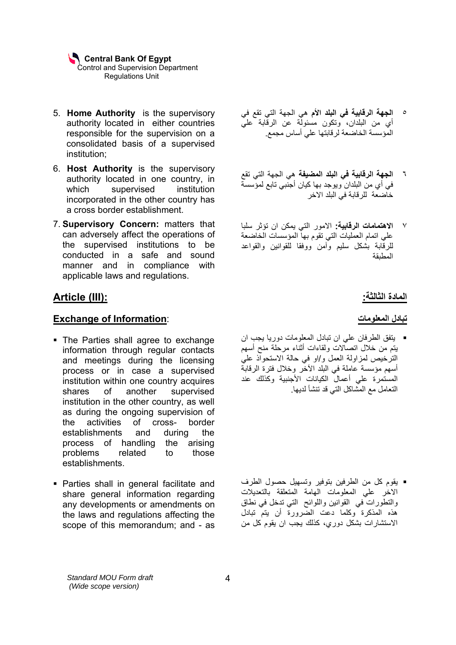- 5. **Home Authority** is the supervisory authority located in either countries responsible for the supervision on a consolidated basis of a supervised institution;
- 6. **Host Authority** is the supervisory authority located in one country, in which supervised institution incorporated in the other country has a cross border establishment.
- 7. **Supervisory Concern:** matters that can adversely affect the operations of the supervised institutions to be conducted in a safe and sound manner and in compliance with applicable laws and regulations.

# **Article (III):**

### **Exchange of Information**:

- The Parties shall agree to exchange information through regular contacts and meetings during the licensing process or in case a supervised institution within one country acquires shares of another supervised institution in the other country, as well as during the ongoing supervision of the activities of cross- border establishments and during the process of handling the arising problems related to those establishments.
- **Parties shall in general facilitate and** share general information regarding any developments or amendments on the laws and regulations affecting the scope of this memorandum; and - as
- ٥ **الجهة الرقابية في البلد الأم** هي الجهة التي تقع في أي من البلدان، وتكون مسئولة عن الرقابة علي المؤسسة الخاضعة لرقابتها علي أساس مجمع.
- ٦ **الجهة الرقابية في البلد المضيفة** هي الجهة التي تقع في أي من البلدان ويوجد بها كيان أجنبي تابع لمؤسسة خاضعة للرقابة في البلد الاخر
- ٧ **الاهتمامات الرقابية:** الامور التي يمكن ان تؤثر سلبا علي اتمام العمليات التي تقوم بها المؤسسات الخاضعة للرقابة بشكل سليم وآمن ووفقا للقوانين والقواعد المطبقة

### **المادة الثالثة:**

#### **تبادل المعلومات**

 يتفق الطرفان علي ان تبادل المعلومات دوريا يجب ان يتم من خلال اتصالات ولقاءات أثناء مرحلة منح أسهم الترخيص لمزاولة العمل و/او في حالة الاستحواذ علي أسهم مؤسسة عاملة في البلد الآخر وخلال فترة الرقابة المستمرة على أعمال الكيانات الأجنبية وكذلك عند التعامل مع المشاكل التي قد تنشأ لديها.

 يقوم آل من الطرفين بتوفير وتسهيل حصول الطرف الاخر علي المعلومات الهامة المتعلقة بالتعديلات والتطورات في القوانين واللوائح التي تدخل في نطاق هذه المذآرة وآلما دعت الضرورة أن يتم تبادل الاستشارات بشكل دوري، كذلك يجب ان يقوم كل من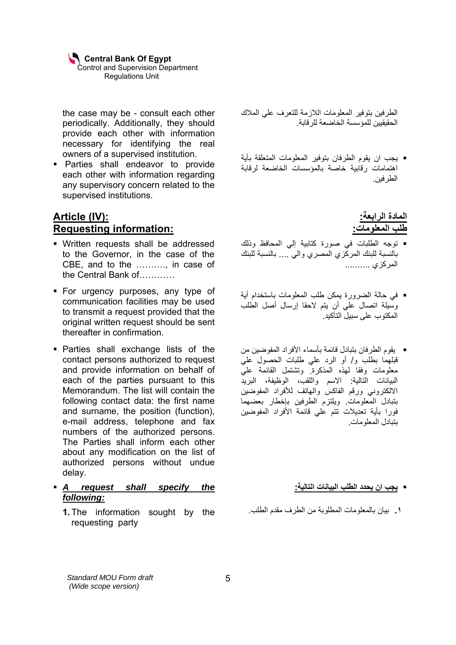the case may be - consult each other periodically. Additionally, they should provide each other with information necessary for identifying the real owners of a supervised institution.

 Parties shall endeavor to provide each other with information regarding any supervisory concern related to the supervised institutions.

# **Article (IV): Requesting information:**

- Written requests shall be addressed to the Governor, in the case of the CBE, and to the ………., in case of the Central Bank of…………
- **For urgency purposes, any type of** communication facilities may be used to transmit a request provided that the original written request should be sent thereafter in confirmation.
- Parties shall exchange lists of the contact persons authorized to request and provide information on behalf of each of the parties pursuant to this Memorandum. The list will contain the following contact data: the first name and surname, the position (function), e-mail address, telephone and fax numbers of the authorized persons. The Parties shall inform each other about any modification on the list of authorized persons without undue delay.
- *A request shall specify the following:*
	- **1.** The information sought by the requesting party

الطرفين بتوفير المعلومات اللازمة للتعرف علي الملاك الحقيقيين للمؤسسة الخاضعة للرقابة.

 يجب ان يقوم الطرفان بتوفير المعلومات المتعلقة بأية اهتمامات رقابية خاصة بالمؤسسات الخاضعة لرقابة الطرفين.

# **المادة الرابعة: طلب المعلومات:**

- توجه الطلبات في صورة آتابية إلي المحافظ وذلك بالنسبة للبنك المرآزي المصري والي .... بالنسبة للبنك المركزي ...........
- في حالة الضرورة يمكن طلب المعلومات باستخدام أية وسيلة اتصال علي أن يتم لاحقا إرسال أصل الطلب المكتوب على سبيل التأآيد.
- يقوم الطرفان بتبادل قائمة بأسماء الأفراد المفوضين من قبلهما بطلب و/ أو الرد علي طلبات الحصول علي معلومات وفقا لمهذه المذكرة وتشتمل القائمة عليّ البيانات التالية: الاسم واللقب، الوظيفة، البريد الالكترون*ي* ورقم الفاكس والهاتف للأفراد المفوضين بتبادل المعلومات. ويلتزم الطرفين بإخطار بعضهما فورا بأية تعديلات تتم علي قائمة الأفراد المفوضين بتبادل المعلومات.

### **يجب ان يحدد الطلب البيانات التالية:**

**.١** بيان بالمعلومات المطلوبة من الطرف مقدم الطلب.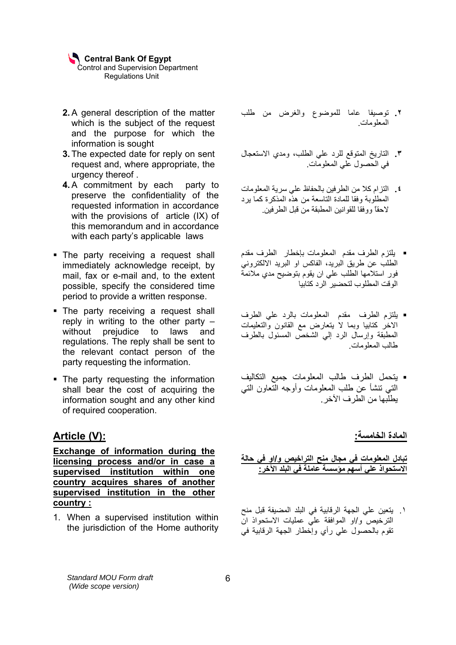- **2.** A general description of the matter which is the subject of the request and the purpose for which the information is sought
- **3.** The expected date for reply on sent request and, where appropriate, the urgency thereof .
- **4.** A commitment by each party to preserve the confidentiality of the requested information in accordance with the provisions of article (IX) of this memorandum and in accordance with each party's applicable laws
- The party receiving a request shall immediately acknowledge receipt, by mail, fax or e-mail and, to the extent possible, specify the considered time period to provide a written response.
- The party receiving a request shall reply in writing to the other party – without prejudice to laws and regulations. The reply shall be sent to the relevant contact person of the party requesting the information.
- The party requesting the information shall bear the cost of acquiring the information sought and any other kind of required cooperation.

# **Article (V):**

**Exchange of information during the licensing process and/or in case a supervised institution within one country acquires shares of another supervised institution in the other country :**

1. When a supervised institution within the jurisdiction of the Home authority

- **.٢** توصيفا عاما للموضوع والغرض من طلب المعلومات.
- **.٣** التاريخ المتوقع للرد علي الطلب، ومدي الاستعجال في الحصول علي المعلومات.
- **.٤** التزام آلا من الطرفين بالحفاظ علي سرية المعلومات المطلوبة وفقا للمادة التاسعة من هذه المذكر ة كما بر د لاحقاً ووفقا للقوانين المطبقة من قبل الطرفين.
- يلتزم الطرف مقدم المعلومات بإخطار الطرف مقدم الطلب عن طريق البريد، الفاكس او البريد الالكتروني فور استلامها الطلب علي ان يقوم بتوضيح مدي ملائمة الوقت المطلوب لتحضير الرد كتابيا
- يلتزم الطرف مقدم المعلومات بالرد علي الطرف الاخر آتابيا وبما لا يتعارض مع القانون والتعليمات المطبقة وإرسال الرد إلي الشخص المسئول بالطرف طالب المعلومات.
- يتحمل الطرف طالب المعلومات جميع التكاليف التي تنشأ عن طلب المعلومات وأوجه التعاون التي يطلبها من الطرف الآخر.

**المادة الخامسة:** 

**تبادل المعلومات في مجال منح التراخيص و/او في حالة الاستحواذ علي أسهم مؤسسة عاملة في البلد الآخر:** 

.١ يتعين علي الجهة الرقابية في البلد المضيفة قبل منح الترخيص و/او الموافقة علي عمليات الاستحواذ ان تقوم بالحصول علي رأي وإخطار الجهة الرقابية في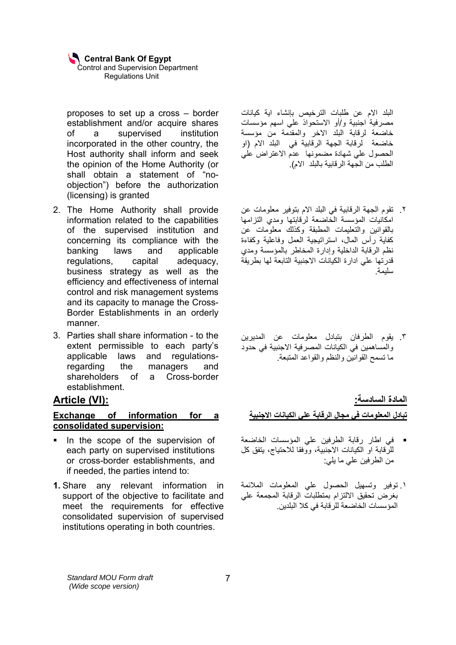proposes to set up a cross – border establishment and/or acquire shares of a supervised institution incorporated in the other country, the Host authority shall inform and seek the opinion of the Home Authority (or shall obtain a statement of "noobjection") before the authorization (licensing) is granted

- 2. The Home Authority shall provide information related to the capabilities of the supervised institution and concerning its compliance with the banking laws and applicable regulations, capital adequacy, business strategy as well as the efficiency and effectiveness of internal control and risk management systems and its capacity to manage the Cross-Border Establishments in an orderly manner.
- 3. Parties shall share information to the extent permissible to each party's applicable laws and regulationsregarding the managers and shareholders of a Cross-border establishment.

# **Article (VI):**

### **Exchange of information for a consolidated supervision:**

- In the scope of the supervision of each party on supervised institutions or cross-border establishments, and if needed, the parties intend to:
- **1.** Share any relevant information in support of the objective to facilitate and meet the requirements for effective consolidated supervision of supervised institutions operating in both countries.

البلد الام عن طلبات الترخيص بإنشاء اية كيانات مصرفية اجنبية و/أو الاستحواذ علي اسهم مؤسسات خاضعة لرقابة البلد الاخر والمقدمة من مؤسسة خاضعة لرقابة الجهة الرقابية في البلد الام (او الحصول علي شهادة مضمونها عدم الاعتراض علي الطلب من الجهة الرقابية بالبلد الام).

- .٢ تقوم الجهة الرقابية في البلد الام بتوفير معلومات عن امكانيات المؤسسة الخاضعة لرقابتها ومدي التزامها بالقوانين والتعليمات المطبقة وكذلك معلومات عن آفاية رأس المال، استراتيجية العمل وفاعلية وآفاءة نظم الرقابة الداخلية وإدارة المخاطر بالمؤسسة ومدي قدرتها علي ادارة الكيانات الاجنبية التابعة لها بطريقة سليمة.
- .٣ يقوم الطرفان بتبادل معلومات عن المديرين والمساهمين في الكيانات المصرفية الاجنبية في حدود ما تسمح القوانين والنظم والقواعد المتبعة.

# **المادة السادسة:**

**تبادل المعلومات في مجال الرقابة علي الكيانات الاجنبية** 

- في اطار رقابة الطرفين علي المؤسسات الخاضعة للرقابة او الكيانات الاجنبية، ووفقا للاحتياج، يتفق آل من الطرفين علي ما يلي:
- .١ توفير وتسهيل الحصول علي المعلومات الملائمة بغرض تحقيق الالتزام بمتطلبات الرقابة المجمعة علي المؤسسات الخاضعة للرقابة في كلا البلدين.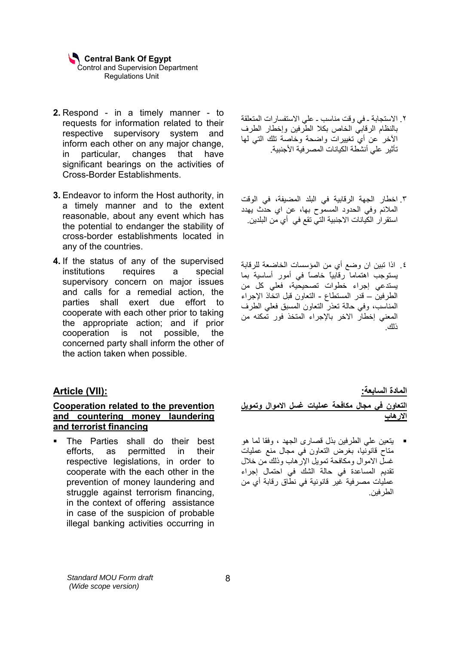- **2.** Respond in a timely manner to requests for information related to their respective supervisory system and inform each other on any major change, in particular, changes that have significant bearings on the activities of Cross-Border Establishments.
- **3.** Endeavor to inform the Host authority, in a timely manner and to the extent reasonable, about any event which has the potential to endanger the stability of cross-border establishments located in any of the countries.
- **4.** If the status of any of the supervised institutions requires a special supervisory concern on major issues and calls for a remedial action, the parties shall exert due effort to cooperate with each other prior to taking the appropriate action; and if prior cooperation is not possible, the concerned party shall inform the other of the action taken when possible.

### **Article (VII):**

#### **Cooperation related to the prevention and countering money laundering and terrorist financing**

 The Parties shall do their best efforts, as permitted in their respective legislations, in order to cooperate with the each other in the prevention of money laundering and struggle against terrorism financing, in the context of offering assistance in case of the suspicion of probable illegal banking activities occurring in

- .٢ الاستجابة ـ في وقت مناسب ـ علي الاستفسارات المتعلقة بالنظام الرقابي الخاص بكلا الطرفين وإخطار الطرف الآخر عن أي تغييرات واضحة وخاصة تلك التي لها تأثير علي أنشطة الكيانات المصرفية الأجنبية.
- .٣ اخطار الجهة الرقابية في البلد المضيفة، في الوقت الملائم وفي الحدود المسموح بها، عن اي حدث يهدد استقرار الكيانات الاجنبية التي تقع في أي من البلدين.
- .٤ اذا تبين ان وضع أي من المؤسسات الخاضعة للرقابة يستوجب اهتماما رقابياً خاصاً في أمور أساسية بما يستدعي إجراء خطوات تصحيحية، فعلي آل من الطرفين – قدر المستطاع - التعاون قبل اتخاذ الإجراء المناسب، وفي حالة تعذر التعاون المسبق فعلي الطرف المعني إخطار الاخر بالإجراء المتخذ فور تمكنه من ذلك.

**المادة السابعة:** 

**التعاون في مجال مكافحة عمليات غسل الاموال وتمويل الارهاب** 

 يتعين علي الطرفين بذل قصارى الجهد ، وفقا لما هو متاح قانونيا، بغرض التعاون في مجال منع عمليات غسل الاموال ومكافحة تمويل الإرهاب وذلك من خلال تقديم المساعدة في حالة الشك في احتمال إجراء عمليات مصرفية غير قانونية في نطاق رقابة أي من الطرفين.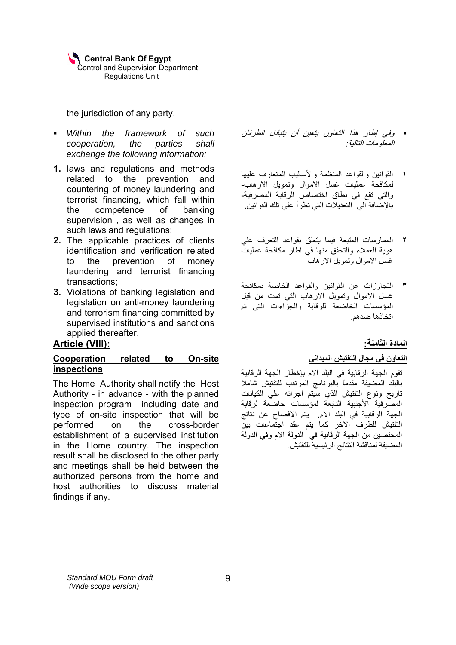the jurisdiction of any party.

- *Within the framework of such cooperation, the parties shall exchange the following information:*
- **1.** laws and regulations and methods related to the prevention and countering of money laundering and terrorist financing, which fall within the competence of banking supervision , as well as changes in such laws and regulations;
- **2.** The applicable practices of clients identification and verification related to the prevention of money laundering and terrorist financing transactions;
- **3.** Violations of banking legislation and legislation on anti-money laundering and terrorism financing committed by supervised institutions and sanctions applied thereafter.

### **Article (VIII):**

### **Cooperation related to On-site inspections**

The Home Authority shall notify the Host Authority - in advance - with the planned inspection program including date and type of on-site inspection that will be performed on the cross-border establishment of a supervised institution in the Home country. The inspection result shall be disclosed to the other party and meetings shall be held between the authorized persons from the home and host authorities to discuss material findings if any.

- وفي إطار هذا التعاون يتعين أن يتبادل الطرفان المعلومات التالية:
- **١** القوانين والقواعد المنظمة والأساليب المتعارف عليها لمكافحة عمليات غسل الاموال وتمويل الارهاب- والتي تقع في نطاق اختصاص الرقابة المصرفية- بالإضافة الي التعديلات التي تطرأ علي تلك القوانين.
- **٢** الممارسات المتبعة فيما يتعلق بقواعد التعرف علي هوية العملاء والتحقق منها في اطار مكافحة عمليات غسل الاموال وتمويل الارهاب
- **٣** التجاوزات عن القوانين والقواعد الخاصة بمكافحة غسل الاموال وتمويل الارهاب التي تمت من قبل المؤسسات الخاضعة للرقابة والجزاءات التي تم اتخاذها ضدهم.

### **المادة الثامنة:**

### **التعاون في مجال التفتيش الميداني**

تقوم الجهة الرقابية في البلد الام بإخطار الجهة الرقابية بالبلد المضيفة مقدماً بالبرنامج المرتقب للتفتيش شاملا تاريخ ونوع التفتيش الذي سيتم اجرائه علي الكيانات المصرفية الأجنبية التابعة لمؤسسات خاضعة لرقابة الجهة الرقابية في البلد الام. يتم الافصاح عن نتائج التفتيش للطرف الاخر آما يتم عقد اجتماعات بين المختصين من الجهة الرقابية في الدولة الام وفي الدولة المضيفة لمناقشة النتائج الرئيسية للتفتيش.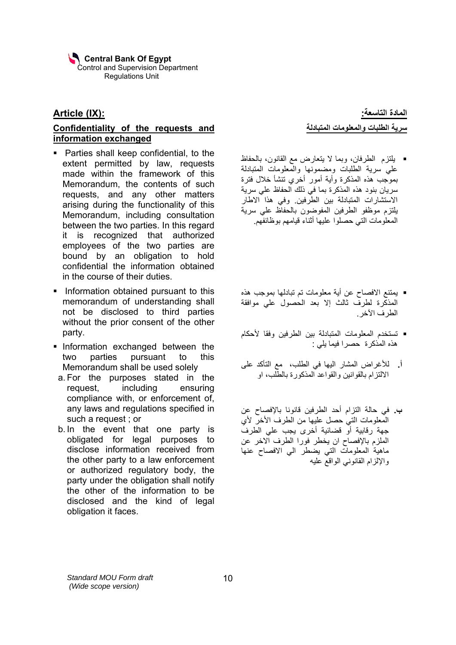## **Article (IX):**

### **Confidentiality of the requests and information exchanged**

- **Parties shall keep confidential, to the** extent permitted by law, requests made within the framework of this Memorandum, the contents of such requests, and any other matters arising during the functionality of this Memorandum, including consultation between the two parties. In this regard it is recognized that authorized employees of the two parties are bound by an obligation to hold confidential the information obtained in the course of their duties.
- **Information obtained pursuant to this** memorandum of understanding shall not be disclosed to third parties without the prior consent of the other party.
- **Information exchanged between the** two parties pursuant to this Memorandum shall be used solely
- a. For the purposes stated in the request, including ensuring compliance with, or enforcement of, any laws and regulations specified in such a request ; or
- b. In the event that one party is obligated for legal purposes to disclose information received from the other party to a law enforcement or authorized regulatory body, the party under the obligation shall notify the other of the information to be disclosed and the kind of legal obligation it faces.

**المادة التاسعة: سرية الطلبات والمعلومات المتبادلة** 

- يلتزم الطرفان، وبما لا يتعارض مع القانون، بالحفاظ علي سرية الطلبات ومضمونها والمعلومات المتبادلة بموجب هذه المذكرة وأية أمور أخرى تنشأ خلال فترة .<br>سريان بنود هذه المذكرة بما في ذلك الحفاظ علي سرية الاستشارات المتبادلة بين الطرفين. وفي هذا الاطار يلتزم موظفو الطرفين المفوضون بالحفاظ علي سرية المعلومات التي حصلوا عليها أثناء قيامهم بوظائفهم.
- يمتنع الافصاح عن أية معلومات تم تبادلها بموجب هذه المذآرة لطرف ثالث إلا بعد الحصول علي موافقة الطرف الآخر.
- تستخدم المعلومات المتبادلة بين الطرفين وفقا لأحكام هذه المذكرة حصرا فيما يلي :
- **أ.** للأغراض المشار اليها في الطلب، مع التأآد على الالتزام بالقوانين والقواعد المذآورة بالطلب، او
- **ب.** في حالة التزام أحد الطرفين قانونا بالإفصاح عن المعلومات التي حصل عليها من الطرف الأخر لأي جهة رقابية أو قضائية أخرى يجب علي الطرف الملزم بالإفصاح ان يخطر فورا الطرف الاخر عن ماهية المعلومات التي يضطر الي الافصاح عنها والإلزام القانوني الواقع عليه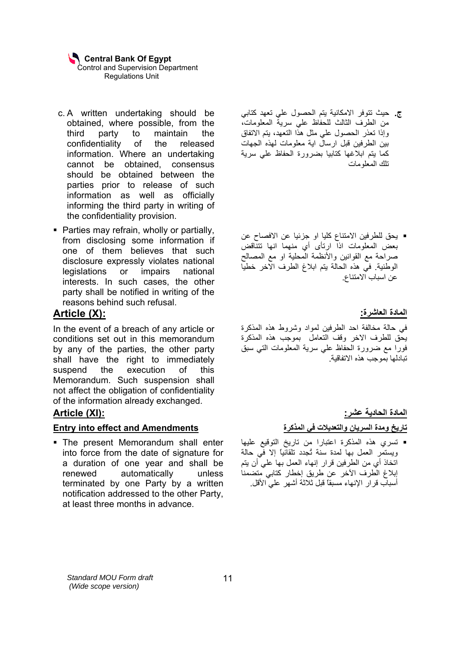- c. A written undertaking should be obtained, where possible, from the third party to maintain the confidentiality of the released information. Where an undertaking cannot be obtained, consensus should be obtained between the parties prior to release of such information as well as officially informing the third party in writing of the confidentiality provision.
- Parties may refrain, wholly or partially, from disclosing some information if one of them believes that such disclosure expressly violates national legislations or impairs national interests. In such cases, the other party shall be notified in writing of the reasons behind such refusal.

# **Article (X):**

In the event of a breach of any article or conditions set out in this memorandum by any of the parties, the other party shall have the right to immediately suspend the execution of this Memorandum. Such suspension shall not affect the obligation of confidentiality of the information already exchanged.

### **Article (XI):**

### **Entry into effect and Amendments**

 The present Memorandum shall enter into force from the date of signature for a duration of one year and shall be renewed automatically unless terminated by one Party by a written notification addressed to the other Party, at least three months in advance.

- **ج.** حيث تتوفر الامكانية يتم الحصول علي تعهد آتابي من الطرف الثالث للحفاظ علي سرية المعلومات، وإذا تعذر الحصول علي مثل هذا التعهد، يتم الاتفاق بين الطرفين قبل ارسال اية معلومات لهذه الجهات كما يتم ابلاغها كتابيا بضرورة الحفاظ على سرية تلك المعلومات
- يحق للطرفين الامتناع كليا او جزئيا عن الافصاح عن بعض المعلومات اذا ارتأى أي منهما انها تتناقض صراحة مع القوانين والأنظمة المحلية او مع المصالح الوطنية. في هذه الحالة يتم ابلاغ الطرف الاخر خطيا عن اسباب الامتناع.

**المادة العاشرة:**

في حالة مخالفة احد الطرفين لمواد وشروط هذه المذآرة يحق للطرف الاخر وقف التعامل بموجب هذه المذآرة فورا مع ضرورة الحفاظ علي سرية المعلومات التي سبق تبادلها بموجب هذه الاتفاقية.

 **المادة الحادية عشر:** 

### **تاريخ ومدة السريان والتعديلات في المذآرة**

 تسري هذه المذآرة اعتبارا من تاريخ التوقيع عليها ويستمر العمل بها لمدة سنة تُجدد تلقائياً إلا في حالة اتخاذ أي من الطرفين قرار إنهاء العمل بها علي أن يتم إبلاغ الطرف الآخر عن طريق إخطار كتابي متضمنا أسباب قرار الإنهاء مسبقاً قبل ثلاثة أشهر علي الأقل.